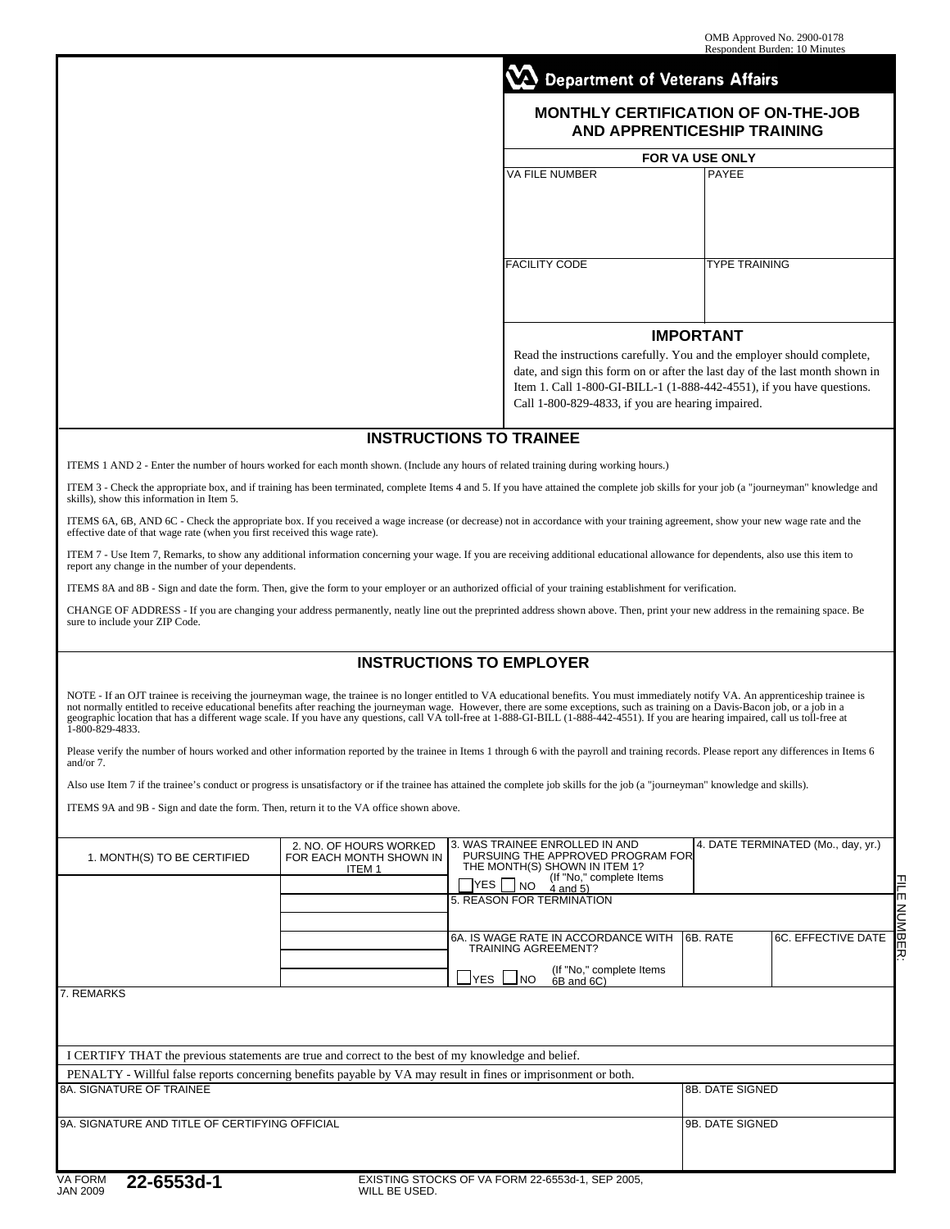## **Department of Veterans Affairs**

## **MONTHLY CERTIFICATION OF ON-THE-JOB AND APPRENTICESHIP TRAINING**

| FOR VA USE ONLY       |                      |  |  |  |
|-----------------------|----------------------|--|--|--|
| <b>VA FILE NUMBER</b> | PAYEE                |  |  |  |
| <b>FACILITY CODE</b>  | <b>TYPE TRAINING</b> |  |  |  |
| <b>IMPORTANT</b>      |                      |  |  |  |

Read the instructions carefully. You and the employer should complete, date, and sign this form on or after the last day of the last month shown in Item 1. Call 1-800-GI-BILL-1 (1-888-442-4551), if you have questions. Call 1-800-829-4833, if you are hearing impaired.

## **INSTRUCTIONS TO TRAINEE**

ITEMS 1 AND 2 - Enter the number of hours worked for each month shown. (Include any hours of related training during working hours.)

ITEM 3 - Check the appropriate box, and if training has been terminated, complete Items 4 and 5. If you have attained the complete job skills for your job (a "journeyman" knowledge and skills), show this information in Item 5.

ITEMS 6A, 6B, AND 6C - Check the appropriate box. If you received a wage increase (or decrease) not in accordance with your training agreement, show your new wage rate and the effective date of that wage rate (when you first received this wage rate).

ITEM 7 - Use Item 7, Remarks, to show any additional information concerning your wage. If you are receiving additional educational allowance for dependents, also use this item to report any change in the number of your dep

ITEMS 8A and 8B - Sign and date the form. Then, give the form to your employer or an authorized official of your training establishment for verification.

CHANGE OF ADDRESS - If you are changing your address permanently, neatly line out the preprinted address shown above. Then, print your new address in the remaining space. Be sure to include your ZIP Code.

## **INSTRUCTIONS TO EMPLOYER**

NOTE - If an OJT trainee is receiving the journeyman wage, the trainee is no longer entitled to VA educational benefits. You must immediately notify VA. An apprenticeship trainee is not normally entitled to receive educational benefits after reaching the journeyman wage. However, there are some exceptions, such as training on a Davis-Bacon job, or a job in a<br>geographic location that has a different wa

Please verify the number of hours worked and other information reported by the trainee in Items 1 through 6 with the payroll and training records. Please report any differences in Items 6 and/or 7.

Also use Item 7 if the trainee's conduct or progress is unsatisfactory or if the trainee has attained the complete job skills for the job (a "journeyman" knowledge and skills).

ITEMS 9A and 9B - Sign and date the form. Then, return it to the VA office shown above.

| 1. MONTH(S) TO BE CERTIFIED                                                                                       | 2. NO. OF HOURS WORKED<br>FOR EACH MONTH SHOWN IN<br>ITEM <sub>1</sub> | YES I<br> NO<br>5. REASON FOR TERMINATION       | l3. WAS TRAINEE ENROLLED IN AND<br>PURSUING THE APPROVED PROGRAM FOR<br>THE MONTH(S) SHOWN IN ITEM 1?<br>(If "No," complete Items<br>$4$ and $5)$ |                        | 4. DATE TERMINATED (Mo., day, yr.)  |
|-------------------------------------------------------------------------------------------------------------------|------------------------------------------------------------------------|-------------------------------------------------|---------------------------------------------------------------------------------------------------------------------------------------------------|------------------------|-------------------------------------|
|                                                                                                                   |                                                                        | TRAINING AGREEMENT?<br>$\sqcup$ YES $\sqcup$ NO | 6A. IS WAGE RATE IN ACCORDANCE WITH<br>(If "No," complete Items<br>6B and 6C)                                                                     | 16B. RATE              | NUMBEI<br><b>6C. EFFECTIVE DATE</b> |
| 7. REMARKS<br>I CERTIFY THAT the previous statements are true and correct to the best of my knowledge and belief. |                                                                        |                                                 |                                                                                                                                                   |                        |                                     |
| PENALTY - Willful false reports concerning benefits payable by VA may result in fines or imprisonment or both.    |                                                                        |                                                 |                                                                                                                                                   |                        |                                     |
| 8A. SIGNATURE OF TRAINEE                                                                                          |                                                                        |                                                 |                                                                                                                                                   | <b>8B. DATE SIGNED</b> |                                     |
| 9A. SIGNATURE AND TITLE OF CERTIFYING OFFICIAL                                                                    |                                                                        |                                                 |                                                                                                                                                   | 9B. DATE SIGNED        |                                     |
| - ---- - -                                                                                                        |                                                                        |                                                 |                                                                                                                                                   |                        |                                     |